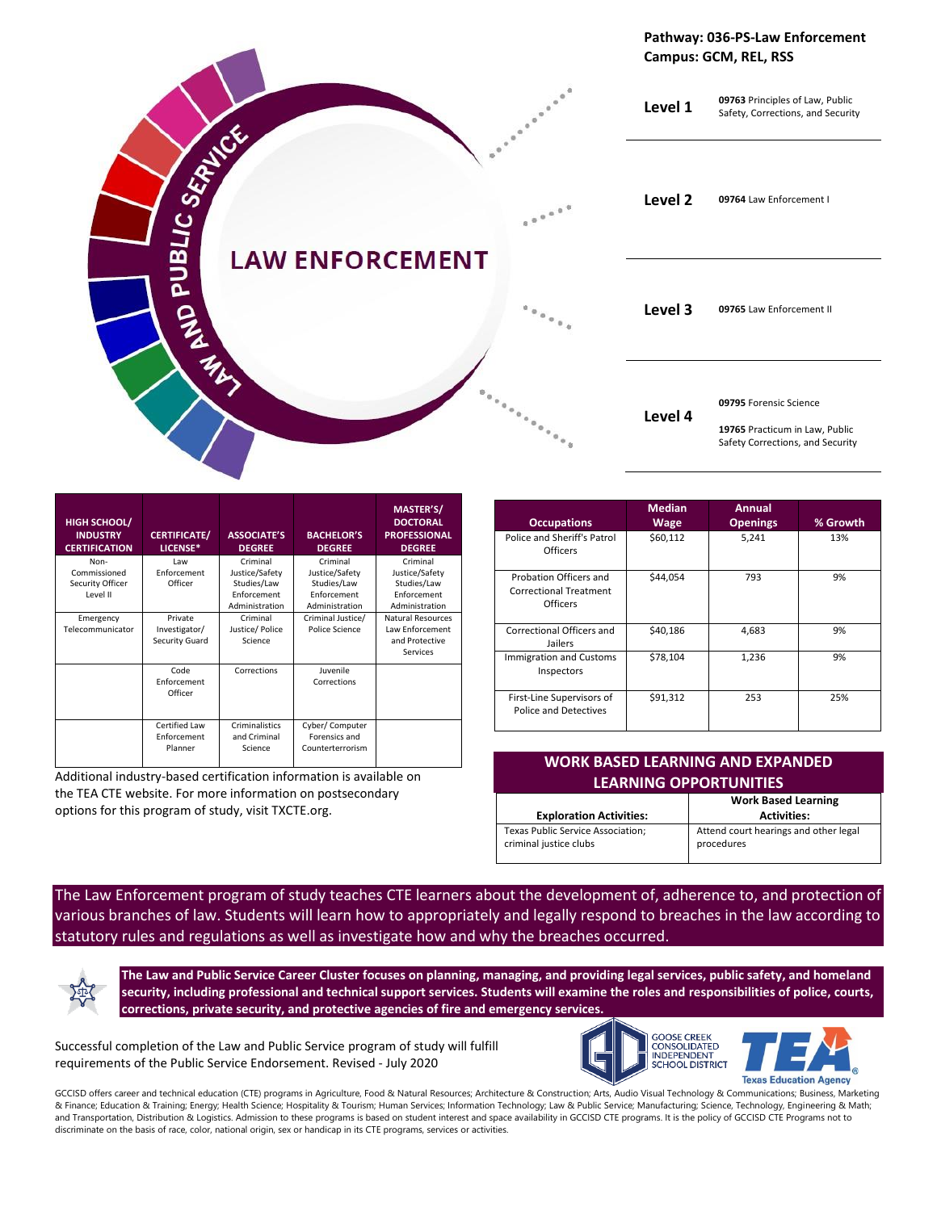

| <b>HIGH SCHOOL/</b><br><b>INDUSTRY</b><br><b>CERTIFICATION</b> | <b>CERTIFICATE/</b><br>LICENSE*                | <b>ASSOCIATE'S</b><br><b>DEGREE</b>                                        | <b>BACHELOR'S</b><br><b>DEGREE</b>                                         | MASTER'S/<br><b>DOCTORAL</b><br><b>PROFESSIONAL</b><br><b>DEGREE</b>       |
|----------------------------------------------------------------|------------------------------------------------|----------------------------------------------------------------------------|----------------------------------------------------------------------------|----------------------------------------------------------------------------|
| Non-<br>Commissioned<br>Security Officer<br>Level II           | Law<br>Enforcement<br>Officer                  | Criminal<br>Justice/Safety<br>Studies/Law<br>Enforcement<br>Administration | Criminal<br>Justice/Safety<br>Studies/Law<br>Enforcement<br>Administration | Criminal<br>Justice/Safety<br>Studies/Law<br>Enforcement<br>Administration |
| Emergency<br>Telecommunicator                                  | Private<br>Investigator/<br>Security Guard     | Criminal<br>Justice/Police<br>Science                                      | Criminal Justice/<br>Police Science                                        | Natural Resources<br>Law Enforcement<br>and Protective<br>Services         |
|                                                                | Code<br>Enforcement<br>Officer                 | Corrections                                                                | Juvenile<br>Corrections                                                    |                                                                            |
|                                                                | <b>Certified Law</b><br>Enforcement<br>Planner | Criminalistics<br>and Criminal<br>Science                                  | Cyber/ Computer<br>Forensics and<br>Counterterrorism                       |                                                                            |

Additional industry-based certification information is available on the TEA CTE website. For more information on postsecondary options for this program of study, visit TXCTE.org.

| <b>Occupations</b>                                                  | <b>Median</b><br><b>Wage</b> | Annual<br><b>Openings</b> | % Growth |
|---------------------------------------------------------------------|------------------------------|---------------------------|----------|
| Police and Sheriff's Patrol<br>Officers                             | \$60,112                     | 5,241                     | 13%      |
| Probation Officers and<br><b>Correctional Treatment</b><br>Officers | \$44,054                     | 793                       | 9%       |
| Correctional Officers and<br>Jailers                                | \$40,186                     | 4,683                     | 9%       |
| <b>Immigration and Customs</b><br>Inspectors                        | \$78.104                     | 1,236                     | 9%       |
| First-Line Supervisors of<br><b>Police and Detectives</b>           | \$91,312                     | 253                       | 25%      |

| <b>WORK BASED LEARNING AND EXPANDED</b><br><b>LEARNING OPPORTUNITIES</b> |                                                     |  |  |
|--------------------------------------------------------------------------|-----------------------------------------------------|--|--|
| <b>Exploration Activities:</b>                                           | <b>Work Based Learning</b><br><b>Activities:</b>    |  |  |
| Texas Public Service Association;<br>criminal justice clubs              | Attend court hearings and other legal<br>procedures |  |  |

The Law Enforcement program of study teaches CTE learners about the development of, adherence to, and protection of various branches of law. Students will learn how to appropriately and legally respond to breaches in the law according to statutory rules and regulations as well as investigate how and why the breaches occurred.

**The Law and Public Service Career Cluster focuses on planning, managing, and providing legal services, public safety, and homeland security, including professional and technical support services. Students will examine the roles and responsibilities of police, courts, corrections, private security, and protective agencies of fire and emergency services.**

Successful completion of the Law and Public Service program of study will fulfill requirements of the Public Service Endorsement. Revised - July 2020



GCCISD offers career and technical education (CTE) programs in Agriculture, Food & Natural Resources; Architecture & Construction; Arts, Audio Visual Technology & Communications; Business, Marketing & Finance; Education & Training; Energy; Health Science; Hospitality & Tourism; Human Services; Information Technology; Law & Public Service; Manufacturing; Science, Technology, Engineering & Math; and Transportation, Distribution & Logistics. Admission to these programs is based on student interest and space availability in GCCISD CTE programs. It is the policy of GCCISD CTE Programs not to discriminate on the basis of race, color, national origin, sex or handicap in its CTE programs, services or activities.